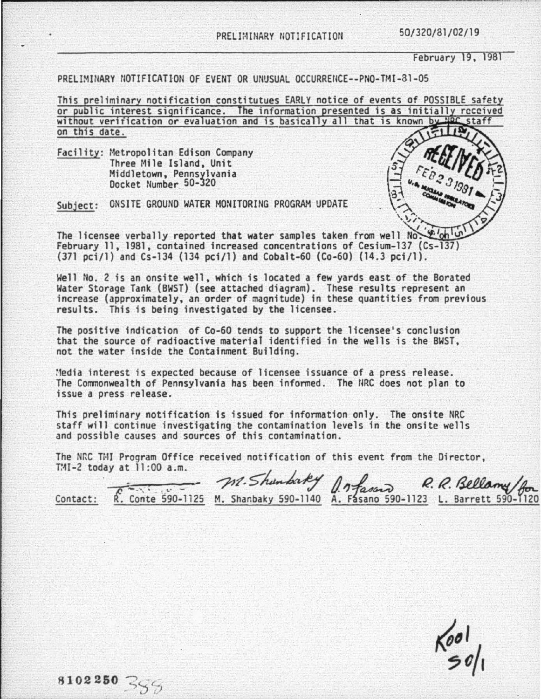50/320/81/02/19

February 19, 1981

PRELIMINARY NOTIFICATION OF EVENT OR UNUSUAL OCCURRENCE--PNO-TMI-81-05

This preliminary notification constitutues EARLY notice of events of POSSIBLE safety or public interest significance. The information presented is as initially received without verification or evaluation and is basically all that is known by HOC staff on this date.

Facility: Metropolitan Edison Company Three Mile Island, Unit Middletown, Pennsylvania Docket Number 50-320

8102250 355

ONSITE GROUND WATER MONITORING PROGRAM UPDATE Subject:

The licensee verbally reported that water samples taken from well No. February 11, 1981, contained increased concentrations of Cesium-137 (Cs-137) (371 pci/1) and Cs-134 (134 pci/1) and Cobalt-60 (Co-60) (14.3 pci/1).

Well No. 2 is an onsite well, which is located a few yards east of the Borated Water Storage Tank (BWST) (see attached diagram). These results represent an increase (approximately, an order of magnitude) in these quantities from previous results. This is being investigated by the licensee.

The positive indication of Co-60 tends to support the licensee's conclusion that the source of radioactive material identified in the wells is the BWST. not the water inside the Containment Building.

Media interest is expected because of licensee issuance of a press release. The Commonwealth of Pennsylvania has been informed. The NRC does not plan to issue a press release.

This preliminary notification is issued for information only. The onsite NRC staff will continue investigating the contamination levels in the onsite wells and possible causes and sources of this contamination.

The NRC TMI Program Office received notification of this event from the Director, TMI-2 today at 11:00 a.m.

M. Shundrey J. mfason R. R. Bellamy for<br>R. Conte 590-1125 M. Shanbaky 590-1140 A. Fasano 590-1123 L. Barrett 590-1120 Contact:

 $\frac{1}{2}$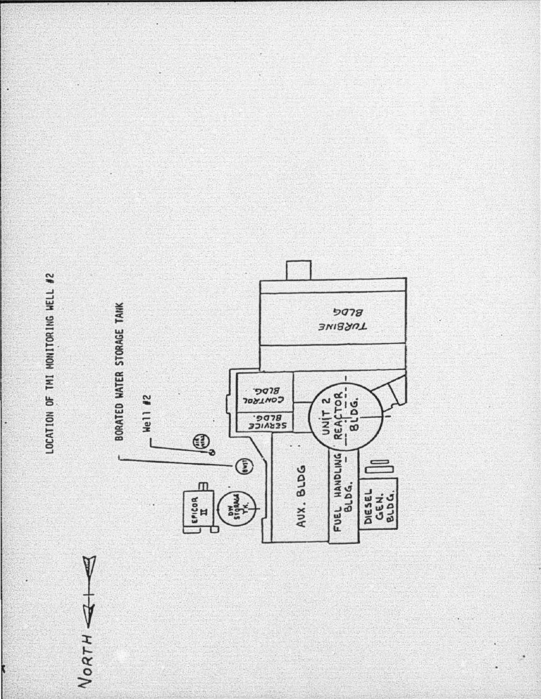

NORTH

ŀ